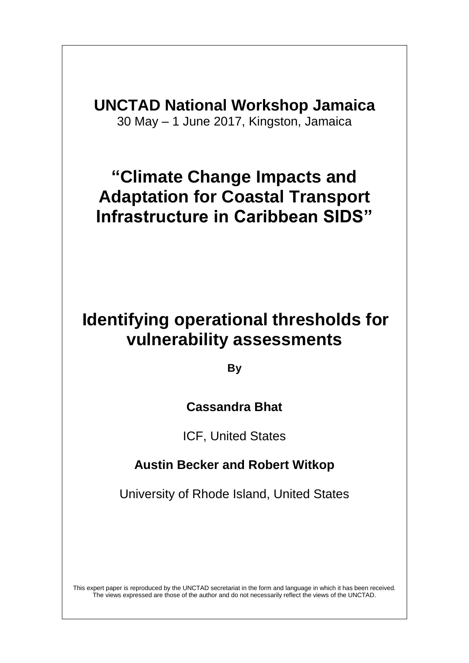**UNCTAD National Workshop Jamaica** 30 May – 1 June 2017, Kingston, Jamaica

# **"Climate Change Impacts and Adaptation for Coastal Transport Infrastructure in Caribbean SIDS"**

# **Identifying operational thresholds for vulnerability assessments**

**By**

## **Cassandra Bhat**

ICF, United States

## **Austin Becker and Robert Witkop**

University of Rhode Island, United States

This expert paper is reproduced by the UNCTAD secretariat in the form and language in which it has been received. The views expressed are those of the author and do not necessarily reflect the views of the UNCTAD.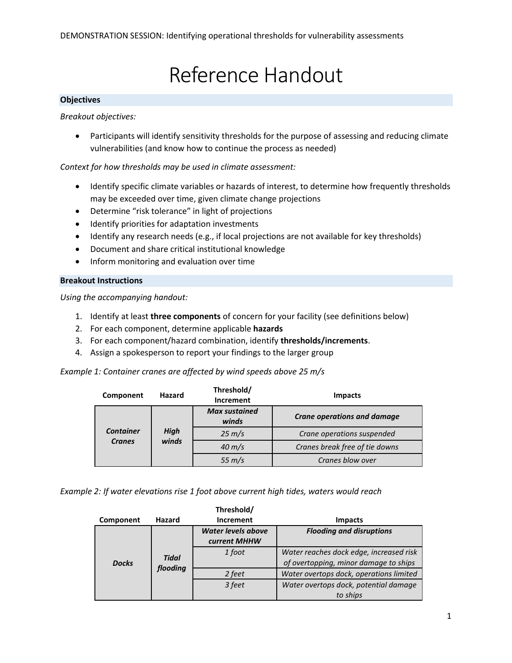# Reference Handout

#### **Objectives**

*Breakout objectives:*

• Participants will identify sensitivity thresholds for the purpose of assessing and reducing climate vulnerabilities (and know how to continue the process as needed)

#### *Context for how thresholds may be used in climate assessment:*

- Identify specific climate variables or hazards of interest, to determine how frequently thresholds may be exceeded over time, given climate change projections
- Determine "risk tolerance" in light of projections
- $\bullet$  Identify priorities for adaptation investments
- Identify any research needs (e.g., if local projections are not available for key thresholds)
- Document and share critical institutional knowledge
- Inform monitoring and evaluation over time

#### **Breakout Instructions**

*Using the accompanying handout:*

- 1. Identify at least **three components** of concern for your facility (see definitions below)
- 2. For each component, determine applicable **hazards**
- 3. For each component/hazard combination, identify **thresholds/increments**.
- 4. Assign a spokesperson to report your findings to the larger group

*Example 1: Container cranes are affected by wind speeds above 25 m/s*

| Component                         | Hazard               | Threshold/<br>Increment       | <b>Impacts</b>                     |  |
|-----------------------------------|----------------------|-------------------------------|------------------------------------|--|
|                                   | <b>High</b><br>winds | <b>Max sustained</b><br>winds | <b>Crane operations and damage</b> |  |
| <b>Container</b><br><b>Cranes</b> |                      | $25 \, \text{m/s}$            | Crane operations suspended         |  |
|                                   |                      | $40 \text{ m/s}$              | Cranes break free of tie downs     |  |
|                                   |                      | $55 \, \text{m/s}$            | Cranes blow over                   |  |

*Example 2: If water elevations rise 1 foot above current high tides, waters would reach* 

|              |                          | Threshold/                                |                                                                                  |
|--------------|--------------------------|-------------------------------------------|----------------------------------------------------------------------------------|
| Component    | Hazard                   | <b>Increment</b>                          | <b>Impacts</b>                                                                   |
| <b>Docks</b> | <b>Tidal</b><br>flooding | <b>Water levels above</b><br>current MHHW | <b>Flooding and disruptions</b>                                                  |
|              |                          | 1 foot                                    | Water reaches dock edge, increased risk<br>of overtopping, minor damage to ships |
|              |                          | 2 feet                                    | Water overtops dock, operations limited                                          |
|              |                          | 3 feet                                    | Water overtops dock, potential damage                                            |
|              |                          |                                           | to ships                                                                         |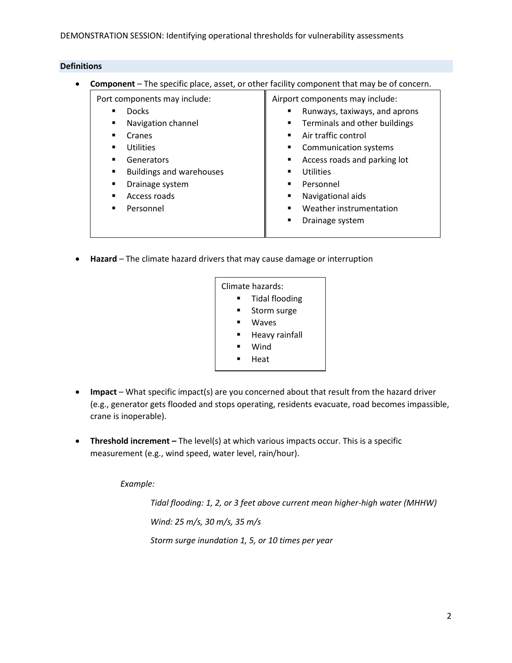#### **Definitions**

**Component** – The specific place, asset, or other facility component that may be of concern.

Port components may include:

**Docks** 

**Navigation channel** 

Cranes

- **Utilities**
- Generators
- **Buildings and warehouses**
- Drainage system
- **Access roads**
- **Personnel**

Airport components may include:

- Runways, taxiways, and aprons
- Terminals and other buildings
- **Air traffic control**
- **Communication systems**
- Access roads and parking lot
- **Utilities**
- **Personnel**
- **Navigational aids**
- Weather instrumentation
- **•** Drainage system
- **Hazard** The climate hazard drivers that may cause damage or interruption

| Climate hazards:      |                |  |
|-----------------------|----------------|--|
| <b>Tidal flooding</b> |                |  |
|                       | Storm surge    |  |
|                       | Waves          |  |
|                       | Heavy rainfall |  |
|                       | Wind           |  |
|                       | Heat           |  |

- **Impact** What specific impact(s) are you concerned about that result from the hazard driver (e.g., generator gets flooded and stops operating, residents evacuate, road becomes impassible, crane is inoperable).
- **Threshold increment –** The level(s) at which various impacts occur. This is a specific measurement (e.g., wind speed, water level, rain/hour).

*Example:*

*Tidal flooding: 1, 2, or 3 feet above current mean higher-high water (MHHW) Wind: 25 m/s, 30 m/s, 35 m/s Storm surge inundation 1, 5, or 10 times per year*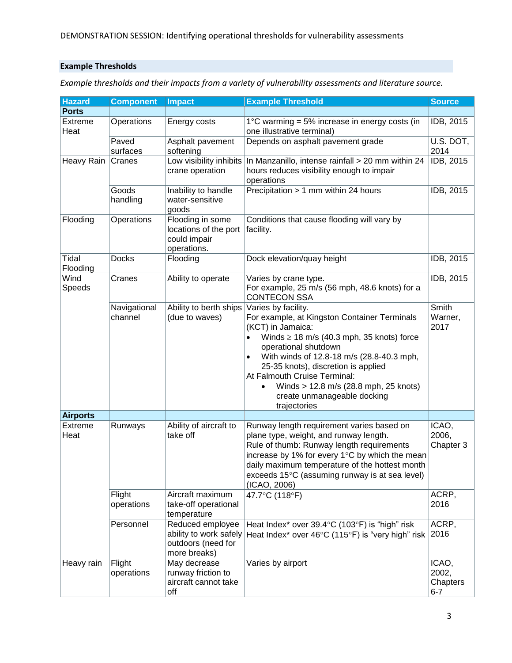#### **Example Thresholds**

*Example thresholds and their impacts from a variety of vulnerability assessments and literature source.*

| <b>Hazard</b>     | <b>Component</b>        | <b>Impact</b>                                                                    | <b>Example Threshold</b>                                                                                                                                                                                                                                                                                                                                                                                 | <b>Source</b>                         |
|-------------------|-------------------------|----------------------------------------------------------------------------------|----------------------------------------------------------------------------------------------------------------------------------------------------------------------------------------------------------------------------------------------------------------------------------------------------------------------------------------------------------------------------------------------------------|---------------------------------------|
| <b>Ports</b>      |                         |                                                                                  |                                                                                                                                                                                                                                                                                                                                                                                                          |                                       |
| Extreme<br>Heat   | Operations              | Energy costs                                                                     | 1 $\degree$ C warming = 5% increase in energy costs (in<br>one illustrative terminal)                                                                                                                                                                                                                                                                                                                    | IDB, 2015                             |
|                   | Paved<br>surfaces       | Asphalt pavement<br>softening                                                    | Depends on asphalt pavement grade                                                                                                                                                                                                                                                                                                                                                                        | U.S. DOT,<br>2014                     |
| Heavy Rain        | Cranes                  | Low visibility inhibits<br>crane operation                                       | In Manzanillo, intense rainfall > 20 mm within 24<br>hours reduces visibility enough to impair<br>operations                                                                                                                                                                                                                                                                                             | IDB, 2015                             |
|                   | Goods<br>handling       | Inability to handle<br>water-sensitive<br>goods                                  | Precipitation > 1 mm within 24 hours                                                                                                                                                                                                                                                                                                                                                                     | IDB, 2015                             |
| Flooding          | Operations              | Flooding in some<br>locations of the port<br>could impair<br>operations.         | Conditions that cause flooding will vary by<br>facility.                                                                                                                                                                                                                                                                                                                                                 |                                       |
| Tidal<br>Flooding | <b>Docks</b>            | Flooding                                                                         | Dock elevation/quay height                                                                                                                                                                                                                                                                                                                                                                               | IDB, 2015                             |
| Wind<br>Speeds    | Cranes                  | Ability to operate                                                               | Varies by crane type.<br>For example, 25 m/s (56 mph, 48.6 knots) for a<br><b>CONTECON SSA</b>                                                                                                                                                                                                                                                                                                           | <b>IDB, 2015</b>                      |
|                   | Navigational<br>channel | Ability to berth ships<br>(due to waves)                                         | Varies by facility.<br>For example, at Kingston Container Terminals<br>(KCT) in Jamaica:<br>Winds $\geq$ 18 m/s (40.3 mph, 35 knots) force<br>$\bullet$<br>operational shutdown<br>With winds of 12.8-18 m/s (28.8-40.3 mph,<br>$\bullet$<br>25-35 knots), discretion is applied<br>At Falmouth Cruise Terminal:<br>Winds > 12.8 m/s (28.8 mph, 25 knots)<br>create unmanageable docking<br>trajectories | Smith<br>Warner,<br>2017              |
| <b>Airports</b>   |                         |                                                                                  |                                                                                                                                                                                                                                                                                                                                                                                                          |                                       |
| Extreme<br>Heat   | Runways                 | Ability of aircraft to<br>take off                                               | Runway length requirement varies based on<br>plane type, weight, and runway length.<br>Rule of thumb: Runway length requirements<br>increase by 1% for every 1°C by which the mean<br>daily maximum temperature of the hottest month<br>exceeds 15°C (assuming runway is at sea level)<br>(ICAO, 2006)                                                                                                   | ICAO,<br>2006,<br>Chapter 3           |
|                   | Flight<br>operations    | Aircraft maximum<br>take-off operational<br>temperature                          | 47.7°C (118°F)                                                                                                                                                                                                                                                                                                                                                                                           | ACRP,<br>2016                         |
|                   | Personnel               | Reduced employee<br>ability to work safely<br>outdoors (need for<br>more breaks) | Heat Index* over 39.4°C (103°F) is "high" risk<br>Heat Index* over 46°C (115°F) is "very high" risk                                                                                                                                                                                                                                                                                                      | ACRP,<br>2016                         |
| Heavy rain        | Flight<br>operations    | May decrease<br>runway friction to<br>aircraft cannot take<br>off                | Varies by airport                                                                                                                                                                                                                                                                                                                                                                                        | ICAO,<br>2002,<br>Chapters<br>$6 - 7$ |